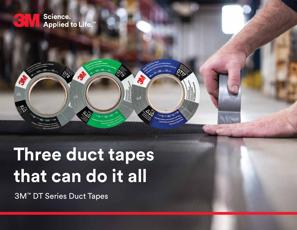

 $\approx 2.9$ 

H



3M™ DT Series Duct Tapes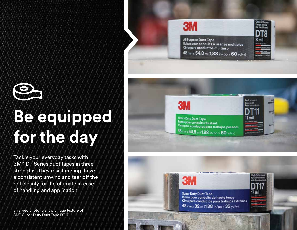

# **Be equipped for the day**

Tackle your everyday tasks with 3M™ DT Series duct tapes in three strengths. They resist curling, have a consistent unwind and tear off the roll cleanly for the ultimate in ease of handling and application.

Enlarged photo to show unique texture of 3M™ Super Duty Duct Tape DT17.





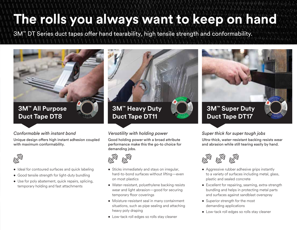## **The rolls you always want to keep on hand**

3M™ DT Series duct tapes offer hand tearability, high tensile strength and conformability.



#### *Conformable with instant bond*

Unique design offers high instant adhesion coupled with maximum conformability.



- Ideal for contoured surfaces and quick labeling
- Good tensile strength for light-duty bundling
- Use for poly abatement, quick repairs, splicing, temporary holding and fast attachments

**3M™ Heavy Duty Duct Tape DT11**

#### *Versatility with holding power*

Good holding power with a broad attribute performance make this the go-to choice for demanding jobs.



- Sticks immediately and stays on irregular, hard-to-bond surfaces without lifting—even on most plastics
- Water-resistant, polyethylene backing resists wear and light abrasion—good for securing temporary floor coverings
- Moisture-resistant seal in many containment situations, such as pipe sealing and attaching heavy poly draping
- Low-tack roll edges so rolls stay cleaner



#### *Super thick for super tough jobs*

Ultra-thick, water-resistant backing resists wear and abrasion while still tearing easily by hand.



- Aggressive rubber adhesive grips instantly to a variety of surfaces including metal, glass, plastic and sealed concrete
- Excellent for repairing, seaming, extra-strength bundling and helps in protecting metal parts and surfaces against sandblast overspray
- Superior strength for the most demanding applications
- Low-tack roll edges so rolls stay cleaner